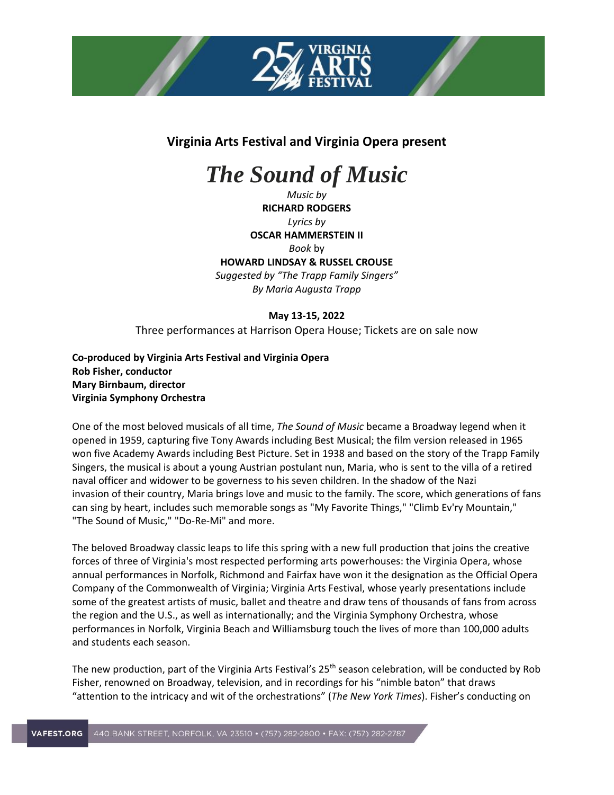

## **Virginia Arts Festival and Virginia Opera present**

## *The Sound of Music*

*Music by* **RICHARD RODGERS** *Lyrics by* **OSCAR HAMMERSTEIN II** *Book* by **HOWARD LINDSAY & RUSSEL CROUSE** *Suggested by "The Trapp Family Singers" By Maria Augusta Trapp*

**May 13-15, 2022**

Three performances at Harrison Opera House; Tickets are on sale now

**Co-produced by Virginia Arts Festival and Virginia Opera Rob Fisher, conductor Mary Birnbaum, director Virginia Symphony Orchestra**

One of the most beloved musicals of all time, *The Sound of Music* became a Broadway legend when it opened in 1959, capturing five Tony Awards including Best Musical; the film version released in 1965 won five Academy Awards including Best Picture. Set in 1938 and based on the story of the Trapp Family Singers, the musical is about a young Austrian postulant nun, Maria, who is sent to the villa of a retired naval officer and widower to be governess to his seven children. In the shadow of the Nazi invasion of their country, Maria brings love and music to the family. The score, which generations of fans can sing by heart, includes such memorable songs as "My Favorite Things," "Climb Ev'ry Mountain," "The Sound of Music," "Do-Re-Mi" and more.

The beloved Broadway classic leaps to life this spring with a new full production that joins the creative forces of three of Virginia's most respected performing arts powerhouses: the Virginia Opera, whose annual performances in Norfolk, Richmond and Fairfax have won it the designation as the Official Opera Company of the Commonwealth of Virginia; Virginia Arts Festival, whose yearly presentations include some of the greatest artists of music, ballet and theatre and draw tens of thousands of fans from across the region and the U.S., as well as internationally; and the Virginia Symphony Orchestra, whose performances in Norfolk, Virginia Beach and Williamsburg touch the lives of more than 100,000 adults and students each season.

The new production, part of the Virginia Arts Festival's 25<sup>th</sup> season celebration, will be conducted by Rob Fisher, renowned on Broadway, television, and in recordings for his "nimble baton" that draws "attention to the intricacy and wit of the orchestrations" (*The New York Times*). Fisher's conducting on